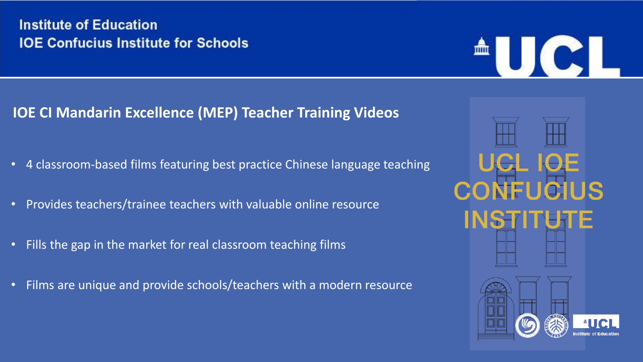### **IOE CI Mandarin Excellence (MEP) Teacher Training Videos**

- 4 classroom-based films featuring best practice Chinese language teaching
- Provides teachers/trainee teachers with valuable online resource
- Fills the gap in the market for real classroom teaching films
- Films are unique and provide schools/teachers with a modern resource



AUC.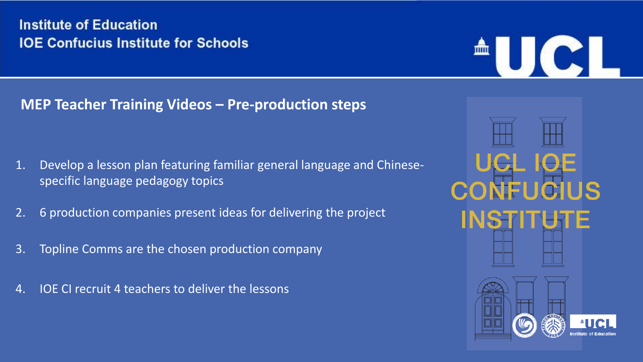#### **MEP Teacher Training Videos – Pre-production steps**

- 1. Develop a lesson plan featuring familiar general language and Chinesespecific language pedagogy topics
- 2. 6 production companies present ideas for delivering the project
- 3. Topline Comms are the chosen production company
- 4. IOE CI recruit 4 teachers to deliver the lessons



**UKCE** 

皿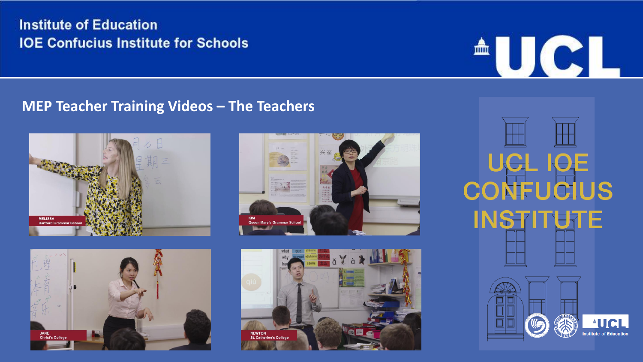#### **MEP Teacher Training Videos – The Teachers**









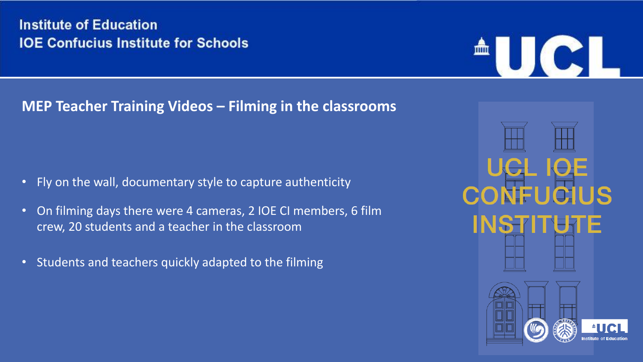### **MEP Teacher Training Videos – Filming in the classrooms**

- Fly on the wall, documentary style to capture authenticity
- On filming days there were 4 cameras, 2 IOE CI members, 6 film crew, 20 students and a teacher in the classroom
- Students and teachers quickly adapted to the filming



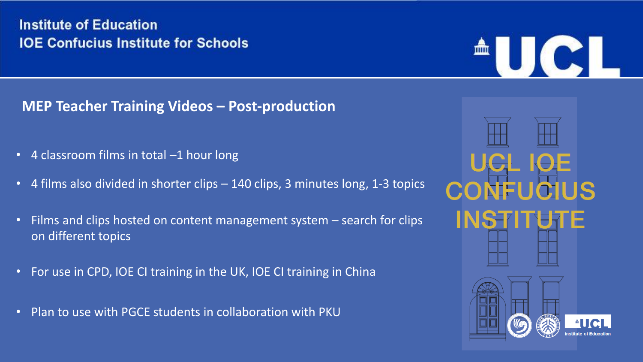**MEP Teacher Training Videos – Post-production**

- 4 classroom films in total –1 hour long
- 4 films also divided in shorter clips 140 clips, 3 minutes long, 1-3 topics
- Films and clips hosted on content management system search for clips on different topics
- For use in CPD, IOE CI training in the UK, IOE CI training in China
- Plan to use with PGCE students in collaboration with PKU



AUC-